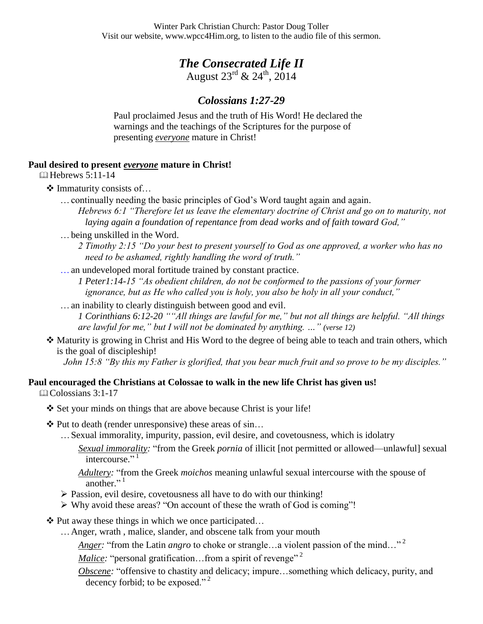# *The Consecrated Life II*

August  $23^{rd}$  &  $24^{th}$ ,  $2014$ 

# *Colossians 1:27-29*

Paul proclaimed Jesus and the truth of His Word! He declared the warnings and the teachings of the Scriptures for the purpose of presenting *everyone* mature in Christ!

## **Paul desired to present** *everyone* **mature in Christ!**

 $\Box$  Hebrews 5:11-14

### $\triangleleft$  Immaturity consists of...

…continually needing the basic principles of God's Word taught again and again.

*Hebrews 6:1 "Therefore let us leave the elementary doctrine of Christ and go on to maturity, not laying again a foundation of repentance from dead works and of faith toward God,"*

- …being unskilled in the Word.
	- *2 Timothy 2:15 "Do your best to present yourself to God as one approved, a worker who has no need to be ashamed, rightly handling the word of truth."*
- …an undeveloped moral fortitude trained by constant practice.
	- *1 Peter1:14-15 "As obedient children, do not be conformed to the passions of your former ignorance, but as He who called you is holy, you also be holy in all your conduct,"*
- …an inability to clearly distinguish between good and evil.

*1 Corinthians 6:12-20 ""All things are lawful for me," but not all things are helpful. "All things are lawful for me," but I will not be dominated by anything. …" (verse 12)*

 $\triangle$  Maturity is growing in Christ and His Word to the degree of being able to teach and train others, which is the goal of discipleship!

*John 15:8 "By this my Father is glorified, that you bear much fruit and so prove to be my disciples."*

### **Paul encouraged the Christians at Colossae to walk in the new life Christ has given us!**

 $\Box$ Colossians 3:1-17

- $\diamondsuit$  Set your minds on things that are above because Christ is your life!
- $\triangle$  Put to death (render unresponsive) these areas of sin...
	- …Sexual immorality, impurity, passion, evil desire, and covetousness, which is idolatry
		- *Sexual immorality:* "from the Greek *pornia* of illicit [not permitted or allowed—unlawful] sexual intercourse."<sup>1</sup>

*Adultery:* "from the Greek *moichos* meaning unlawful sexual intercourse with the spouse of another."<sup>1</sup>

- Passion, evil desire, covetousness all have to do with our thinking!
- Why avoid these areas? "On account of these the wrath of God is coming"!
- $\triangle$  Put away these things in which we once participated...
	- …Anger, wrath , malice, slander, and obscene talk from your mouth
		- *Anger:* "from the Latin *angro* to choke or strangle...a violent passion of the mind..."<sup>2</sup>
		- *Malice:* "personal gratification...from a spirit of revenge"<sup>2</sup>
		- *Obscene:* "offensive to chastity and delicacy; impure…something which delicacy, purity, and decency forbid; to be exposed."<sup>2</sup>